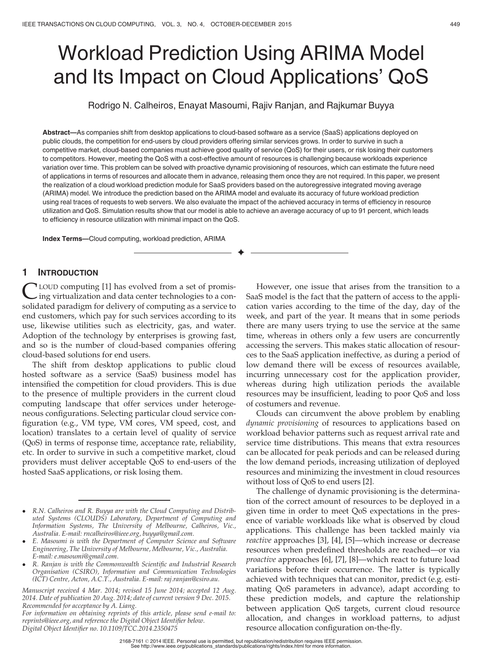# Workload Prediction Using ARIMA Model and Its Impact on Cloud Applications' QoS

Rodrigo N. Calheiros, Enayat Masoumi, Rajiv Ranjan, and Rajkumar Buyya

Abstract—As companies shift from desktop applications to cloud-based software as a service (SaaS) applications deployed on public clouds, the competition for end-users by cloud providers offering similar services grows. In order to survive in such a competitive market, cloud-based companies must achieve good quality of service (QoS) for their users, or risk losing their customers to competitors. However, meeting the QoS with a cost-effective amount of resources is challenging because workloads experience variation over time. This problem can be solved with proactive dynamic provisioning of resources, which can estimate the future need of applications in terms of resources and allocate them in advance, releasing them once they are not required. In this paper, we present the realization of a cloud workload prediction module for SaaS providers based on the autoregressive integrated moving average (ARIMA) model. We introduce the prediction based on the ARIMA model and evaluate its accuracy of future workload prediction using real traces of requests to web servers. We also evaluate the impact of the achieved accuracy in terms of efficiency in resource utilization and QoS. Simulation results show that our model is able to achieve an average accuracy of up to 91 percent, which leads to efficiency in resource utilization with minimal impact on the QoS.

 $\bigstar$ 

Index Terms—Cloud computing, workload prediction, ARIMA

## 1 INTRODUCTION

LOUD computing [1] has evolved from a set of promising virtualization and data center technologies to a consolidated paradigm for delivery of computing as a service to end customers, which pay for such services according to its use, likewise utilities such as electricity, gas, and water. Adoption of the technology by enterprises is growing fast, and so is the number of cloud-based companies offering cloud-based solutions for end users.

The shift from desktop applications to public cloud hosted software as a service (SaaS) business model has intensified the competition for cloud providers. This is due to the presence of multiple providers in the current cloud computing landscape that offer services under heterogeneous configurations. Selecting particular cloud service configuration (e.g., VM type, VM cores, VM speed, cost, and location) translates to a certain level of quality of service (QoS) in terms of response time, acceptance rate, reliability, etc. In order to survive in such a competitive market, cloud providers must deliver acceptable QoS to end-users of the hosted SaaS applications, or risk losing them.

However, one issue that arises from the transition to a SaaS model is the fact that the pattern of access to the application varies according to the time of the day, day of the week, and part of the year. It means that in some periods there are many users trying to use the service at the same time, whereas in others only a few users are concurrently accessing the servers. This makes static allocation of resources to the SaaS application ineffective, as during a period of low demand there will be excess of resources available, incurring unnecessary cost for the application provider, whereas during high utilization periods the available resources may be insufficient, leading to poor QoS and loss of costumers and revenue.

Clouds can circumvent the above problem by enabling dynamic provisioning of resources to applications based on workload behavior patterns such as request arrival rate and service time distributions. This means that extra resources can be allocated for peak periods and can be released during the low demand periods, increasing utilization of deployed resources and minimizing the investment in cloud resources without loss of QoS to end users [2].

The challenge of dynamic provisioning is the determination of the correct amount of resources to be deployed in a given time in order to meet QoS expectations in the presence of variable workloads like what is observed by cloud applications. This challenge has been tackled mainly via reactive approaches [3], [4], [5]—which increase or decrease resources when predefined thresholds are reached—or via proactive approaches [6], [7], [8]—which react to future load variations before their occurrence. The latter is typically achieved with techniques that can monitor, predict (e.g. estimating QoS parameters in advance), adapt according to these prediction models, and capture the relationship between application QoS targets, current cloud resource allocation, and changes in workload patterns, to adjust resource allocation configuration on-the-fly.

R.N. Calheiros and R. Buyya are with the Cloud Computing and Distributed Systems (CLOUDS) Laboratory, Department of Computing and Information Systems, The University of Melbourne, Calheiros, Vic., Australia. E-mail: rncalheiros@ieee.org, buyya@gmail.com.

E. Masoumi is with the Department of Computer Science and Software Engineering, The University of Melbourne, Melbourne, Vic., Australia. E-mail: e.masoumi@gmail.com.

R. Ranjan is with the Commonwealth Scientific and Industrial Research Organisation (CSIRO), Information and Communication Technologies (ICT) Centre, Acton, A.C.T., Australia. E-mail: raj.ranjan@csiro.au.

Manuscript received 4 Mar. 2014; revised 15 June 2014; accepted 12 Aug. 2014. Date of publication 20 Aug. 2014; date of current version 9 Dec. 2015. Recommended for acceptance by A. Liang.

For information on obtaining reprints of this article, please send e-mail to: reprints@ieee.org, and reference the Digital Object Identifier below. Digital Object Identifier no. 10.1109/TCC.2014.2350475

<sup>2168-7161</sup> 2014 IEEE. Personal use is permitted, but republication/redistribution requires IEEE permission. See http://www.ieee.org/publications\_standards/publications/rights/index.html for more information.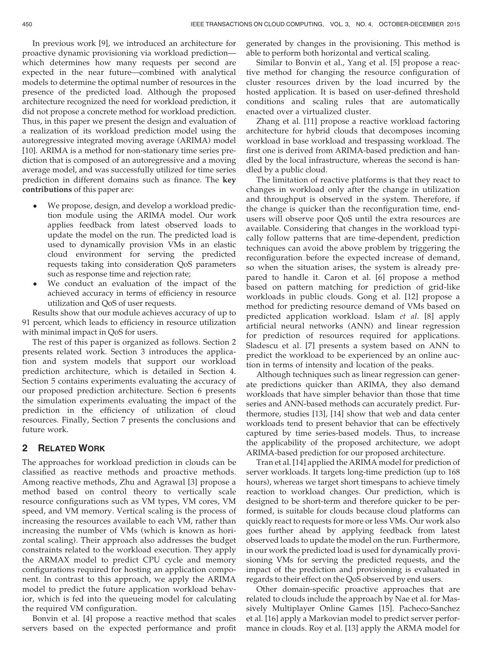In previous work [9], we introduced an architecture for proactive dynamic provisioning via workload prediction which determines how many requests per second are expected in the near future—combined with analytical models to determine the optimal number of resources in the presence of the predicted load. Although the proposed architecture recognized the need for workload prediction, it did not propose a concrete method for workload prediction. Thus, in this paper we present the design and evaluation of a realization of its workload prediction model using the autoregressive integrated moving average (ARIMA) model [10]. ARIMA is a method for non-stationary time series prediction that is composed of an autoregressive and a moving average model, and was successfully utilized for time series prediction in different domains such as finance. The key contributions of this paper are:

- We propose, design, and develop a workload prediction module using the ARIMA model. Our work applies feedback from latest observed loads to update the model on the run. The predicted load is used to dynamically provision VMs in an elastic cloud environment for serving the predicted requests taking into consideration QoS parameters such as response time and rejection rate;
- We conduct an evaluation of the impact of the achieved accuracy in terms of efficiency in resource utilization and QoS of user requests.

Results show that our module achieves accuracy of up to 91 percent, which leads to efficiency in resource utilization with minimal impact in QoS for users.

The rest of this paper is organized as follows. Section 2 presents related work. Section 3 introduces the application and system models that support our workload prediction architecture, which is detailed in Section 4. Section 5 contains experiments evaluating the accuracy of our proposed prediction architecture. Section 6 presents the simulation experiments evaluating the impact of the prediction in the efficiency of utilization of cloud resources. Finally, Section 7 presents the conclusions and future work.

### 2 RELATED WORK

The approaches for workload prediction in clouds can be classified as reactive methods and proactive methods. Among reactive methods, Zhu and Agrawal [3] propose a method based on control theory to vertically scale resource configurations such as VM types, VM cores, VM speed, and VM memory. Vertical scaling is the process of increasing the resources available to each VM, rather than increasing the number of VMs (which is known as horizontal scaling). Their approach also addresses the budget constraints related to the workload execution. They apply the ARMAX model to predict CPU cycle and memory configurations required for hosting an application component. In contrast to this approach, we apply the ARIMA model to predict the future application workload behavior, which is fed into the queueing model for calculating the required VM configuration.

Bonvin et al. [4] propose a reactive method that scales servers based on the expected performance and profit generated by changes in the provisioning. This method is able to perform both horizontal and vertical scaling.

Similar to Bonvin et al., Yang et al. [5] propose a reactive method for changing the resource configuration of cluster resources driven by the load incurred by the hosted application. It is based on user-defined threshold conditions and scaling rules that are automatically enacted over a virtualized cluster.

Zhang et al. [11] propose a reactive workload factoring architecture for hybrid clouds that decomposes incoming workload in base workload and trespassing workload. The first one is derived from ARIMA-based prediction and handled by the local infrastructure, whereas the second is handled by a public cloud.

The limitation of reactive platforms is that they react to changes in workload only after the change in utilization and throughput is observed in the system. Therefore, if the change is quicker than the reconfiguration time, endusers will observe poor QoS until the extra resources are available. Considering that changes in the workload typically follow patterns that are time-dependent, prediction techniques can avoid the above problem by triggering the reconfiguration before the expected increase of demand, so when the situation arises, the system is already prepared to handle it. Caron et al. [6] propose a method based on pattern matching for prediction of grid-like workloads in public clouds. Gong et al. [12] propose a method for predicting resource demand of VMs based on predicted application workload. Islam et al. [8] apply artificial neural networks (ANN) and linear regression for prediction of resources required for applications. Sladescu et al. [7] presents a system based on ANN to predict the workload to be experienced by an online auction in terms of intensity and location of the peaks.

Although techniques such as linear regression can generate predictions quicker than ARIMA, they also demand workloads that have simpler behavior than those that time series and ANN-based methods can accurately predict. Furthermore, studies [13], [14] show that web and data center workloads tend to present behavior that can be effectively captured by time series-based models. Thus, to increase the applicability of the proposed architecture, we adopt ARIMA-based prediction for our proposed architecture.

Tran et al. [14] applied the ARIMA model for prediction of server workloads. It targets long-time prediction (up to 168 hours), whereas we target short timespans to achieve timely reaction to workload changes. Our prediction, which is designed to be short-term and therefore quicker to be performed, is suitable for clouds because cloud platforms can quickly react to requests for more or less VMs. Our work also goes further ahead by applying feedback from latest observed loads to update the model on the run. Furthermore, in our work the predicted load is used for dynamically provisioning VMs for serving the predicted requests, and the impact of the prediction and provisioning is evaluated in regards to their effect on the QoS observed by end users.

Other domain-specific proactive approaches that are related to clouds include the approach by Nae et al. for Massively Multiplayer Online Games [15]. Pacheco-Sanchez et al. [16] apply a Markovian model to predict server performance in clouds. Roy et al. [13] apply the ARMA model for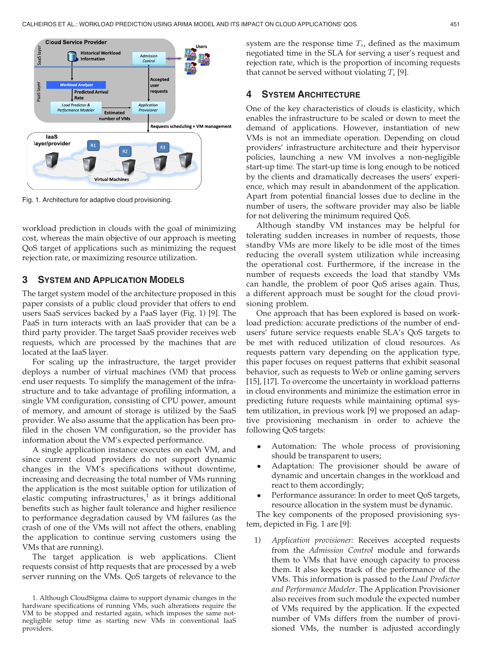

Fig. 1. Architecture for adaptive cloud provisioning.

workload prediction in clouds with the goal of minimizing cost, whereas the main objective of our approach is meeting QoS target of applications such as minimizing the request rejection rate, or maximizing resource utilization.

## 3 SYSTEM AND APPLICATION MODELS

The target system model of the architecture proposed in this paper consists of a public cloud provider that offers to end users SaaS services backed by a PaaS layer (Fig. 1) [9]. The PaaS in turn interacts with an IaaS provider that can be a third party provider. The target SaaS provider receives web requests, which are processed by the machines that are located at the IaaS layer.

For scaling up the infrastructure, the target provider deploys a number of virtual machines (VM) that process end user requests. To simplify the management of the infrastructure and to take advantage of profiling information, a single VM configuration, consisting of CPU power, amount of memory, and amount of storage is utilized by the SaaS provider. We also assume that the application has been profiled in the chosen VM configuration, so the provider has information about the VM's expected performance.

A single application instance executes on each VM, and since current cloud providers do not support dynamic changes in the VM's specifications without downtime, increasing and decreasing the total number of VMs running the application is the most suitable option for utilization of elastic computing infrastructures, $<sup>1</sup>$  as it brings additional</sup> benefits such as higher fault tolerance and higher resilience to performance degradation caused by VM failures (as the crash of one of the VMs will not affect the others, enabling the application to continue serving customers using the VMs that are running).

The target application is web applications. Client requests consist of http requests that are processed by a web server running on the VMs. QoS targets of relevance to the system are the response time  $T_s$ , defined as the maximum negotiated time in the SLA for serving a user's request and rejection rate, which is the proportion of incoming requests that cannot be served without violating  $T_s$  [9].

## 4 SYSTEM ARCHITECTURE

One of the key characteristics of clouds is elasticity, which enables the infrastructure to be scaled or down to meet the demand of applications. However, instantiation of new VMs is not an immediate operation. Depending on cloud providers' infrastructure architecture and their hypervisor policies, launching a new VM involves a non-negligible start-up time. The start-up time is long enough to be noticed by the clients and dramatically decreases the users' experience, which may result in abandonment of the application. Apart from potential financial losses due to decline in the number of users, the software provider may also be liable for not delivering the minimum required QoS.

Although standby VM instances may be helpful for tolerating sudden increases in number of requests, those standby VMs are more likely to be idle most of the times reducing the overall system utilization while increasing the operational cost. Furthermore, if the increase in the number of requests exceeds the load that standby VMs can handle, the problem of poor QoS arises again. Thus, a different approach must be sought for the cloud provisioning problem.

One approach that has been explored is based on workload prediction: accurate predictions of the number of endusers' future service requests enable SLA's QoS targets to be met with reduced utilization of cloud resources. As requests pattern vary depending on the application type, this paper focuses on request patterns that exhibit seasonal behavior, such as requests to Web or online gaming servers [15], [17]. To overcome the uncertainty in workload patterns in cloud environments and minimize the estimation error in predicting future requests while maintaining optimal system utilization, in previous work [9] we proposed an adaptive provisioning mechanism in order to achieve the following QoS targets:

- Automation: The whole process of provisioning should be transparent to users;
- Adaptation: The provisioner should be aware of dynamic and uncertain changes in the workload and react to them accordingly;
- Performance assurance: In order to meet QoS targets, resource allocation in the system must be dynamic.

The key components of the proposed provisioning system, depicted in Fig. 1 are [9]:

1) Application provisioner: Receives accepted requests from the Admission Control module and forwards them to VMs that have enough capacity to process them. It also keeps track of the performance of the VMs. This information is passed to the Load Predictor and Performance Modeler. The Application Provisioner also receives from such module the expected number of VMs required by the application. If the expected number of VMs differs from the number of provisioned VMs, the number is adjusted accordingly

<sup>1.</sup> Although CloudSigma claims to support dynamic changes in the hardware specifications of running VMs, such alterations require the VM to be stopped and restarted again, which imposes the same notnegligible setup time as starting new VMs in conventional IaaS providers.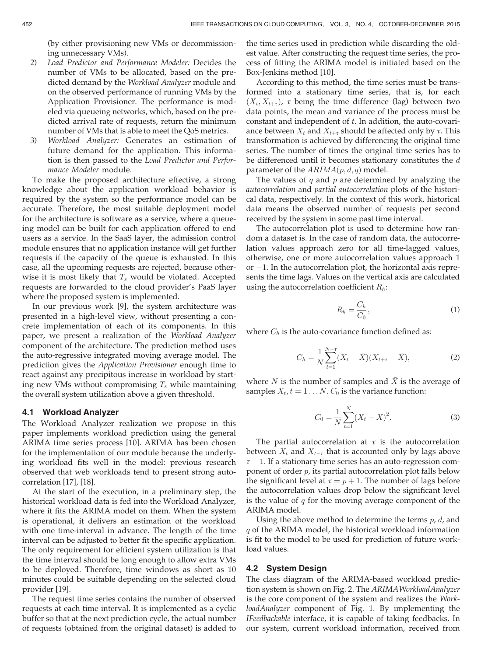(by either provisioning new VMs or decommissioning unnecessary VMs).

- 2) Load Predictor and Performance Modeler: Decides the number of VMs to be allocated, based on the predicted demand by the Workload Analyzer module and on the observed performance of running VMs by the Application Provisioner. The performance is modeled via queueing networks, which, based on the predicted arrival rate of requests, return the minimum number of VMs that is able to meet the QoS metrics.
- 3) Workload Analyzer: Generates an estimation of future demand for the application. This information is then passed to the Load Predictor and Performance Modeler module.

To make the proposed architecture effective, a strong knowledge about the application workload behavior is required by the system so the performance model can be accurate. Therefore, the most suitable deployment model for the architecture is software as a service, where a queueing model can be built for each application offered to end users as a service. In the SaaS layer, the admission control module ensures that no application instance will get further requests if the capacity of the queue is exhausted. In this case, all the upcoming requests are rejected, because otherwise it is most likely that  $T_s$  would be violated. Accepted requests are forwarded to the cloud provider's PaaS layer where the proposed system is implemented.

In our previous work [9], the system architecture was presented in a high-level view, without presenting a concrete implementation of each of its components. In this paper, we present a realization of the Workload Analyzer component of the architecture. The prediction method uses the auto-regressive integrated moving average model. The prediction gives the Application Provisioner enough time to react against any precipitous increase in workload by starting new VMs without compromising  $T_s$  while maintaining the overall system utilization above a given threshold.

#### 4.1 Workload Analyzer

The Workload Analyzer realization we propose in this paper implements workload prediction using the general ARIMA time series process [10]. ARIMA has been chosen for the implementation of our module because the underlying workload fits well in the model: previous research observed that web workloads tend to present strong autocorrelation [17], [18].

At the start of the execution, in a preliminary step, the historical workload data is fed into the Workload Analyzer, where it fits the ARIMA model on them. When the system is operational, it delivers an estimation of the workload with one time-interval in advance. The length of the time interval can be adjusted to better fit the specific application. The only requirement for efficient system utilization is that the time interval should be long enough to allow extra VMs to be deployed. Therefore, time windows as short as 10 minutes could be suitable depending on the selected cloud provider [19].

The request time series contains the number of observed requests at each time interval. It is implemented as a cyclic buffer so that at the next prediction cycle, the actual number of requests (obtained from the original dataset) is added to the time series used in prediction while discarding the oldest value. After constructing the request time series, the process of fitting the ARIMA model is initiated based on the Box-Jenkins method [10].

According to this method, the time series must be transformed into a stationary time series, that is, for each  $(X_t, X_{t+\tau})$ ,  $\tau$  being the time difference (lag) between two data points, the mean and variance of the process must be constant and independent of  $t$ . In addition, the auto-covariance between  $X_t$  and  $X_{t+\tau}$  should be affected only by  $\tau$ . This transformation is achieved by differencing the original time series. The number of times the original time series has to be differenced until it becomes stationary constitutes the  $d$ parameter of the  $ARIMA(p, d, q)$  model.

The values of  $q$  and  $p$  are determined by analyzing the autocorrelation and partial autocorrelation plots of the historical data, respectively. In the context of this work, historical data means the observed number of requests per second received by the system in some past time interval.

The autocorrelation plot is used to determine how random a dataset is. In the case of random data, the autocorrelation values approach zero for all time-lagged values, otherwise, one or more autocorrelation values approach 1  $or -1$ . In the autocorrelation plot, the horizontal axis represents the time lags. Values on the vertical axis are calculated using the autocorrelation coefficient  $R_h$ :

$$
R_h = \frac{C_h}{C_0},\tag{1}
$$

where  $C_h$  is the auto-covariance function defined as:

$$
C_h = \frac{1}{N} \sum_{t=1}^{N-\tau} (X_t - \bar{X})(X_{t+\tau} - \bar{X}),
$$
\n(2)

where  $N$  is the number of samples and  $\bar{X}$  is the average of samples  $X_t$ ,  $t = 1...N$ .  $C_0$  is the variance function:

$$
C_0 = \frac{1}{N} \sum_{t=1}^{N} (X_t - \bar{X})^2.
$$
 (3)

The partial autocorrelation at  $\tau$  is the autocorrelation between  $X_t$  and  $X_{t-\tau}$  that is accounted only by lags above  $\tau$  – 1. If a stationary time series has an auto-regression component of order  $p$ , its partial autocorrelation plot falls below the significant level at  $\tau = p + 1$ . The number of lags before the autocorrelation values drop below the significant level is the value of  $q$  for the moving average component of the ARIMA model.

Using the above method to determine the terms  $p$ ,  $d$ , and  $q$  of the ARIMA model, the historical workload information is fit to the model to be used for prediction of future workload values.

#### 4.2 System Design

The class diagram of the ARIMA-based workload prediction system is shown on Fig. 2. The ARIMAWorkloadAnalyzer is the core component of the system and realizes the WorkloadAnalyzer component of Fig. 1. By implementing the IFeedbackable interface, it is capable of taking feedbacks. In our system, current workload information, received from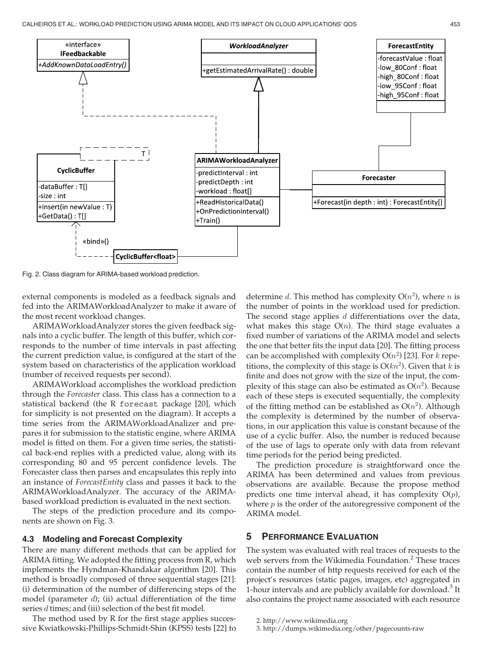

Fig. 2. Class diagram for ARIMA-based workload prediction.

external components is modeled as a feedback signals and fed into the ARIMAWorkloadAnalyzer to make it aware of the most recent workload changes.

ARIMAWorkloadAnalyzer stores the given feedback signals into a cyclic buffer. The length of this buffer, which corresponds to the number of time intervals in past affecting the current prediction value, is configured at the start of the system based on characteristics of the application workload (number of received requests per second).

ARIMAWorkload accomplishes the workload prediction through the Forecaster class. This class has a connection to a statistical backend (the R forecast package [20], which for simplicity is not presented on the diagram). It accepts a time series from the ARIMAWorkloadAnalizer and prepares it for submission to the statistic engine, where ARIMA model is fitted on them. For a given time series, the statistical back-end replies with a predicted value, along with its corresponding 80 and 95 percent confidence levels. The Forecaster class then parses and encapsulates this reply into an instance of ForecastEntity class and passes it back to the ARIMAWorkloadAnalyzer. The accuracy of the ARIMAbased workload prediction is evaluated in the next section.

The steps of the prediction procedure and its components are shown on Fig. 3.

## 4.3 Modeling and Forecast Complexity

There are many different methods that can be applied for ARIMA fitting. We adopted the fitting process from R, which implements the Hyndman-Khandakar algorithm [20]. This method is broadly composed of three sequential stages [21]: (i) determination of the number of differencing steps of the model (parameter  $d$ ); (ii) actual differentiation of the time series  $d$  times; and (iii) selection of the best fit model.

The method used by R for the first stage applies successive Kwiatkowski-Phillips-Schmidt-Shin (KPSS) tests [22] to determine d. This method has complexity  $O(n^2)$ , where n is the number of points in the workload used for prediction. The second stage applies  $d$  differentiations over the data, what makes this stage  $O(n)$ . The third stage evaluates a fixed number of variations of the ARIMA model and selects the one that better fits the input data [20]. The fitting process can be accomplished with complexity  $O(n^2)$  [23]. For k repetitions, the complexity of this stage is  $O(kn^2)$ . Given that k is finite and does not grow with the size of the input, the complexity of this stage can also be estimated as  $O(n^2)$ . Because each of these steps is executed sequentially, the complexity of the fitting method can be established as  $O(n^2)$ . Although the complexity is determined by the number of observations, in our application this value is constant because of the use of a cyclic buffer. Also, the number is reduced because of the use of lags to operate only with data from relevant time periods for the period being predicted.

The prediction procedure is straightforward once the ARIMA has been determined and values from previous observations are available. Because the propose method predicts one time interval ahead, it has complexity  $O(p)$ , where  $p$  is the order of the autoregressive component of the ARIMA model.

## 5 PERFORMANCE EVALUATION

The system was evaluated with real traces of requests to the web servers from the Wikimedia Foundation.<sup>2</sup> These traces contain the number of http requests received for each of the project's resources (static pages, images, etc) aggregated in 1-hour intervals and are publicly available for download.<sup>3</sup> It also contains the project name associated with each resource

<sup>2.</sup> http://www.wikimedia.org

<sup>3.</sup> http://dumps.wikimedia.org/other/pagecounts-raw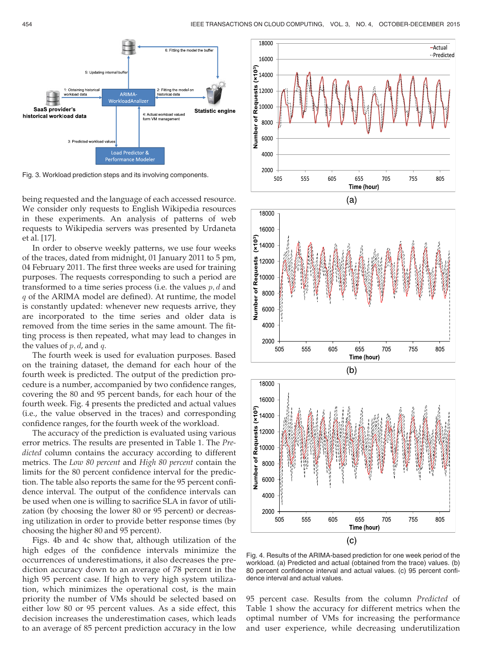

Fig. 3. Workload prediction steps and its involving components.

being requested and the language of each accessed resource. We consider only requests to English Wikipedia resources in these experiments. An analysis of patterns of web requests to Wikipedia servers was presented by Urdaneta et al. [17].

In order to observe weekly patterns, we use four weeks of the traces, dated from midnight, 01 January 2011 to 5 pm, 04 February 2011. The first three weeks are used for training purposes. The requests corresponding to such a period are transformed to a time series process (i.e. the values  $p, d$  and q of the ARIMA model are defined). At runtime, the model is constantly updated: whenever new requests arrive, they are incorporated to the time series and older data is removed from the time series in the same amount. The fitting process is then repeated, what may lead to changes in the values of  $p, d$ , and  $q$ .

The fourth week is used for evaluation purposes. Based on the training dataset, the demand for each hour of the fourth week is predicted. The output of the prediction procedure is a number, accompanied by two confidence ranges, covering the 80 and 95 percent bands, for each hour of the fourth week. Fig. 4 presents the predicted and actual values (i.e., the value observed in the traces) and corresponding confidence ranges, for the fourth week of the workload.

The accuracy of the prediction is evaluated using various error metrics. The results are presented in Table 1. The Predicted column contains the accuracy according to different metrics. The Low 80 percent and High 80 percent contain the limits for the 80 percent confidence interval for the prediction. The table also reports the same for the 95 percent confidence interval. The output of the confidence intervals can be used when one is willing to sacrifice SLA in favor of utilization (by choosing the lower 80 or 95 percent) or decreasing utilization in order to provide better response times (by choosing the higher 80 and 95 percent).

Figs. 4b and 4c show that, although utilization of the high edges of the confidence intervals minimize the occurrences of underestimations, it also decreases the prediction accuracy down to an average of 78 percent in the high 95 percent case. If high to very high system utilization, which minimizes the operational cost, is the main priority the number of VMs should be selected based on either low 80 or 95 percent values. As a side effect, this decision increases the underestimation cases, which leads to an average of 85 percent prediction accuracy in the low







Fig. 4. Results of the ARIMA-based prediction for one week period of the workload. (a) Predicted and actual (obtained from the trace) values. (b) 80 percent confidence interval and actual values. (c) 95 percent confidence interval and actual values.

95 percent case. Results from the column Predicted of Table 1 show the accuracy for different metrics when the optimal number of VMs for increasing the performance and user experience, while decreasing underutilization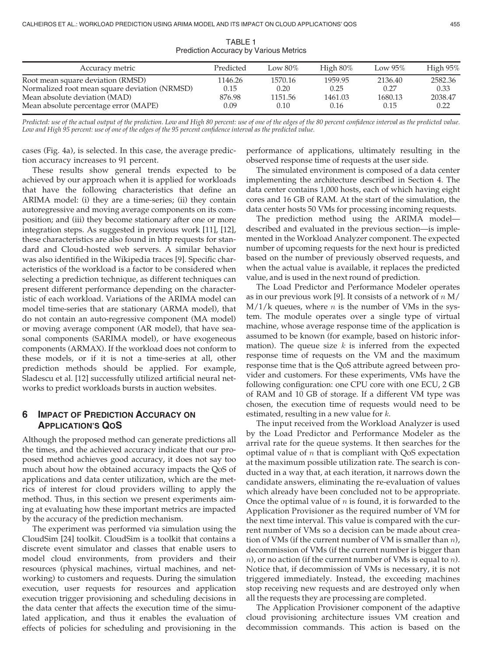| Accuracy metric                               | Predicted | Low $80\%$ | High $80\%$ | Low $95\%$ | High $95\%$ |
|-----------------------------------------------|-----------|------------|-------------|------------|-------------|
| Root mean square deviation (RMSD)             | 1146.26   | 1570.16    | 1959.95     | 2136.40    | 2582.36     |
| Normalized root mean square deviation (NRMSD) | 0.15      | 0.20       | 0.25        | 0.27       | 0.33        |
| Mean absolute deviation (MAD)                 | 876.98    | 1151.56    | 1461.03     | 1680.13    | 2038.47     |
| Mean absolute percentage error (MAPE)         | 0.09      | 0.10       | 0.16        | 0.15       | 0.22        |

TABLE 1 Prediction Accuracy by Various Metrics

Predicted: use of the actual output of the prediction. Low and High 80 percent: use of one of the edges of the 80 percent confidence interval as the predicted value. Low and High 95 percent: use of one of the edges of the 95 percent confidence interval as the predicted value.

cases (Fig. 4a), is selected. In this case, the average prediction accuracy increases to 91 percent.

These results show general trends expected to be achieved by our approach when it is applied for workloads that have the following characteristics that define an ARIMA model: (i) they are a time-series; (ii) they contain autoregressive and moving average components on its composition; and (iii) they become stationary after one or more integration steps. As suggested in previous work [11], [12], these characteristics are also found in http requests for standard and Cloud-hosted web servers. A similar behavior was also identified in the Wikipedia traces [9]. Specific characteristics of the workload is a factor to be considered when selecting a prediction technique, as different techniques can present different performance depending on the characteristic of each workload. Variations of the ARIMA model can model time-series that are stationary (ARMA model), that do not contain an auto-regressive component (MA model) or moving average component (AR model), that have seasonal components (SARIMA model), or have exogeneous components (ARMAX). If the workload does not conform to these models, or if it is not a time-series at all, other prediction methods should be applied. For example, Sladescu et al. [12] successfully utilized artificial neural networks to predict workloads bursts in auction websites.

# 6 IMPACT OF PREDICTION ACCURACY ON APPLICATION'S QOS

Although the proposed method can generate predictions all the times, and the achieved accuracy indicate that our proposed method achieves good accuracy, it does not say too much about how the obtained accuracy impacts the QoS of applications and data center utilization, which are the metrics of interest for cloud providers willing to apply the method. Thus, in this section we present experiments aiming at evaluating how these important metrics are impacted by the accuracy of the prediction mechanism.

The experiment was performed via simulation using the CloudSim [24] toolkit. CloudSim is a toolkit that contains a discrete event simulator and classes that enable users to model cloud environments, from providers and their resources (physical machines, virtual machines, and networking) to customers and requests. During the simulation execution, user requests for resources and application execution trigger provisioning and scheduling decisions in the data center that affects the execution time of the simulated application, and thus it enables the evaluation of effects of policies for scheduling and provisioning in the

performance of applications, ultimately resulting in the observed response time of requests at the user side.

The simulated environment is composed of a data center implementing the architecture described in Section 4. The data center contains 1,000 hosts, each of which having eight cores and 16 GB of RAM. At the start of the simulation, the data center hosts 50 VMs for processing incoming requests.

The prediction method using the ARIMA model described and evaluated in the previous section—is implemented in the Workload Analyzer component. The expected number of upcoming requests for the next hour is predicted based on the number of previously observed requests, and when the actual value is available, it replaces the predicted value, and is used in the next round of prediction.

The Load Predictor and Performance Modeler operates as in our previous work [9]. It consists of a network of  $n M/$  $M/1/k$  queues, where *n* is the number of VMs in the system. The module operates over a single type of virtual machine, whose average response time of the application is assumed to be known (for example, based on historic information). The queue size  $k$  is inferred from the expected response time of requests on the VM and the maximum response time that is the QoS attribute agreed between provider and customers. For these experiments, VMs have the following configuration: one CPU core with one ECU, 2 GB of RAM and 10 GB of storage. If a different VM type was chosen, the execution time of requests would need to be estimated, resulting in a new value for k.

The input received from the Workload Analyzer is used by the Load Predictor and Performance Modeler as the arrival rate for the queue systems. It then searches for the optimal value of  $n$  that is compliant with QoS expectation at the maximum possible utilization rate. The search is conducted in a way that, at each iteration, it narrows down the candidate answers, eliminating the re-evaluation of values which already have been concluded not to be appropriate. Once the optimal value of  $n$  is found, it is forwarded to the Application Provisioner as the required number of VM for the next time interval. This value is compared with the current number of VMs so a decision can be made about creation of VMs (if the current number of VM is smaller than  $n$ ), decommission of VMs (if the current number is bigger than  $n$ , or no action (if the current number of VMs is equal to  $n$ ). Notice that, if decommission of VMs is necessary, it is not triggered immediately. Instead, the exceeding machines stop receiving new requests and are destroyed only when all the requests they are processing are completed.

The Application Provisioner component of the adaptive cloud provisioning architecture issues VM creation and decommission commands. This action is based on the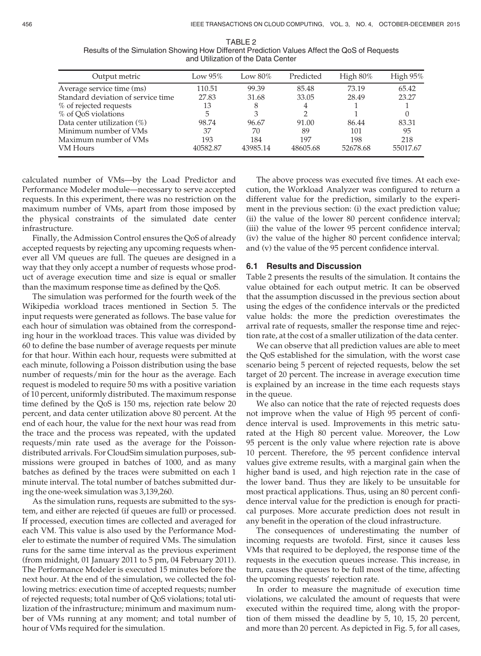| Output metric                      | Low $95\%$ | Low $80\%$ | Predicted | High $80\%$ | High $95\%$ |
|------------------------------------|------------|------------|-----------|-------------|-------------|
| Average service time (ms)          | 110.51     | 99.39      | 85.48     | 73.19       | 65.42       |
| Standard deviation of service time | 27.83      | 31.68      | 33.05     | 28.49       | 23.27       |
| % of rejected requests             | 13         | 8          | 4         |             |             |
| % of OoS violations                | 5          | 3          | 2         |             |             |
| Data center utilization (%)        | 98.74      | 96.67      | 91.00     | 86.44       | 83.31       |
| Minimum number of VMs              | 37         | 70         | 89        | 101         | 95          |
| Maximum number of VMs              | 193        | 184        | 197       | 198         | 218         |
| VM Hours                           | 40582.87   | 43985.14   | 48605.68  | 52678.68    | 55017.67    |

TABLE 2 Results of the Simulation Showing How Different Prediction Values Affect the QoS of Requests and Utilization of the Data Center

calculated number of VMs—by the Load Predictor and Performance Modeler module—necessary to serve accepted requests. In this experiment, there was no restriction on the maximum number of VMs, apart from those imposed by the physical constraints of the simulated date center infrastructure.

Finally, the Admission Control ensures the QoS of already accepted requests by rejecting any upcoming requests whenever all VM queues are full. The queues are designed in a way that they only accept a number of requests whose product of average execution time and size is equal or smaller than the maximum response time as defined by the QoS.

The simulation was performed for the fourth week of the Wikipedia workload traces mentioned in Section 5. The input requests were generated as follows. The base value for each hour of simulation was obtained from the corresponding hour in the workload traces. This value was divided by 60 to define the base number of average requests per minute for that hour. Within each hour, requests were submitted at each minute, following a Poisson distribution using the base number of requests/min for the hour as the average. Each request is modeled to require 50 ms with a positive variation of 10 percent, uniformly distributed. The maximum response time defined by the QoS is 150 ms, rejection rate below 20 percent, and data center utilization above 80 percent. At the end of each hour, the value for the next hour was read from the trace and the process was repeated, with the updated requests/min rate used as the average for the Poissondistributed arrivals. For CloudSim simulation purposes, submissions were grouped in batches of 1000, and as many batches as defined by the traces were submitted on each 1 minute interval. The total number of batches submitted during the one-week simulation was 3,139,260.

As the simulation runs, requests are submitted to the system, and either are rejected (if queues are full) or processed. If processed, execution times are collected and averaged for each VM. This value is also used by the Performance Modeler to estimate the number of required VMs. The simulation runs for the same time interval as the previous experiment (from midnight, 01 January 2011 to 5 pm, 04 February 2011). The Performance Modeler is executed 15 minutes before the next hour. At the end of the simulation, we collected the following metrics: execution time of accepted requests; number of rejected requests; total number of QoS violations; total utilization of the infrastructure; minimum and maximum number of VMs running at any moment; and total number of hour of VMs required for the simulation.

The above process was executed five times. At each execution, the Workload Analyzer was configured to return a different value for the prediction, similarly to the experiment in the previous section: (i) the exact prediction value; (ii) the value of the lower 80 percent confidence interval; (iii) the value of the lower 95 percent confidence interval; (iv) the value of the higher 80 percent confidence interval; and (v) the value of the 95 percent confidence interval.

#### 6.1 Results and Discussion

Table 2 presents the results of the simulation. It contains the value obtained for each output metric. It can be observed that the assumption discussed in the previous section about using the edges of the confidence intervals or the predicted value holds: the more the prediction overestimates the arrival rate of requests, smaller the response time and rejection rate, at the cost of a smaller utilization of the data center.

We can observe that all prediction values are able to meet the QoS established for the simulation, with the worst case scenario being 5 percent of rejected requests, below the set target of 20 percent. The increase in average execution time is explained by an increase in the time each requests stays in the queue.

We also can notice that the rate of rejected requests does not improve when the value of High 95 percent of confidence interval is used. Improvements in this metric saturated at the High 80 percent value. Moreover, the Low 95 percent is the only value where rejection rate is above 10 percent. Therefore, the 95 percent confidence interval values give extreme results, with a marginal gain when the higher band is used, and high rejection rate in the case of the lower band. Thus they are likely to be unsuitable for most practical applications. Thus, using an 80 percent confidence interval value for the prediction is enough for practical purposes. More accurate prediction does not result in any benefit in the operation of the cloud infrastructure.

The consequences of underestimating the number of incoming requests are twofold. First, since it causes less VMs that required to be deployed, the response time of the requests in the execution queues increase. This increase, in turn, causes the queues to be full most of the time, affecting the upcoming requests' rejection rate.

In order to measure the magnitude of execution time violations, we calculated the amount of requests that were executed within the required time, along with the proportion of them missed the deadline by 5, 10, 15, 20 percent, and more than 20 percent. As depicted in Fig. 5, for all cases,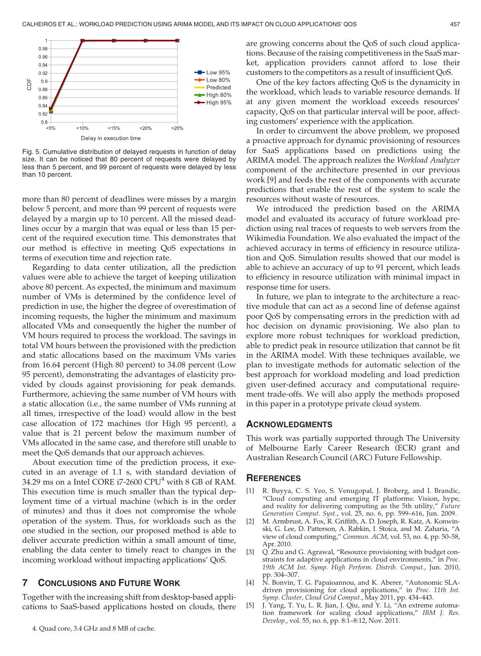

Fig. 5. Cumulative distribution of delayed requests in function of delay size. It can be noticed that 80 percent of requests were delayed by less than 5 percent, and 99 percent of requests were delayed by less than 10 percent.

more than 80 percent of deadlines were misses by a margin below 5 percent, and more than 99 percent of requests were delayed by a margin up to 10 percent. All the missed deadlines occur by a margin that was equal or less than 15 percent of the required execution time. This demonstrates that our method is effective in meeting QoS expectations in terms of execution time and rejection rate.

Regarding to data center utilization, all the prediction values were able to achieve the target of keeping utilization above 80 percent. As expected, the minimum and maximum number of VMs is determined by the confidence level of prediction in use, the higher the degree of overestimation of incoming requests, the higher the minimum and maximum allocated VMs and consequently the higher the number of VM hours required to process the workload. The savings in total VM hours between the provisioned with the prediction and static allocations based on the maximum VMs varies from 16.64 percent (High 80 percent) to 34.08 percent (Low 95 percent), demonstrating the advantages of elasticity provided by clouds against provisioning for peak demands. Furthermore, achieving the same number of VM hours with a static allocation (i.e., the same number of VMs running at all times, irrespective of the load) would allow in the best case allocation of 172 machines (for High 95 percent), a value that is 21 percent below the maximum number of VMs allocated in the same case, and therefore still unable to meet the QoS demands that our approach achieves.

About execution time of the prediction process, it executed in an average of 1.1 s, with standard deviation of 34.29 ms on a Intel CORE  $i7-2600$  CPU<sup>4</sup> with 8 GB of RAM. This execution time is much smaller than the typical deployment time of a virtual machine (which is in the order of minutes) and thus it does not compromise the whole operation of the system. Thus, for workloads such as the one studied in the section, our proposed method is able to deliver accurate prediction within a small amount of time, enabling the data center to timely react to changes in the incoming workload without impacting applications' QoS.

### 7 CONCLUSIONS AND FUTURE WORK

Together with the increasing shift from desktop-based applications to SaaS-based applications hosted on clouds, there are growing concerns about the QoS of such cloud applications. Because of the raising competitiveness in the SaaS market, application providers cannot afford to lose their customers to the competitors as a result of insufficient QoS.

One of the key factors affecting QoS is the dynamicity in the workload, which leads to variable resource demands. If at any given moment the workload exceeds resources' capacity, QoS on that particular interval will be poor, affecting customers' experience with the application.

In order to circumvent the above problem, we proposed a proactive approach for dynamic provisioning of resources for SaaS applications based on predictions using the ARIMA model. The approach realizes the Workload Analyzer component of the architecture presented in our previous work [9] and feeds the rest of the components with accurate predictions that enable the rest of the system to scale the resources without waste of resources.

We introduced the prediction based on the ARIMA model and evaluated its accuracy of future workload prediction using real traces of requests to web servers from the Wikimedia Foundation. We also evaluated the impact of the achieved accuracy in terms of efficiency in resource utilization and QoS. Simulation results showed that our model is able to achieve an accuracy of up to 91 percent, which leads to efficiency in resource utilization with minimal impact in response time for users.

In future, we plan to integrate to the architecture a reactive module that can act as a second line of defense against poor QoS by compensating errors in the prediction with ad hoc decision on dynamic provisioning. We also plan to explore more robust techniques for workload prediction, able to predict peak in resource utilization that cannot be fit in the ARIMA model. With these techniques available, we plan to investigate methods for automatic selection of the best approach for workload modeling and load prediction given user-defined accuracy and computational requirement trade-offs. We will also apply the methods proposed in this paper in a prototype private cloud system.

#### ACKNOWLEDGMENTS

This work was partially supported through The University of Melbourne Early Career Research (ECR) grant and Australian Research Council (ARC) Future Fellowship.

#### **REFERENCES**

- [1] R. Buyya, C. S. Yeo, S. Venugopal, J. Broberg, and I. Brandic, "Cloud computing and emerging IT platforms: Vision, hype, and reality for delivering computing as the 5th utility," Future Generation Comput. Syst., vol. 25, no. 6, pp. 599–616, Jun. 2009.
- [2] M. Armbrust, A. Fox, R. Griffith, A. D. Joseph, R. Katz, A. Konwinski, G. Lee, D. Patterson, A. Rabkin, I. Stoica, and M. Zaharia, "A view of cloud computing," Commun. ACM, vol. 53, no. 4, pp. 50–58, Apr. 2010.
- [3] Q. Zhu and G. Agrawal, "Resource provisioning with budget constraints for adaptive applications in cloud environments," in Proc. 19th ACM Int. Symp. High Perform. Distrib. Comput., Jun. 2010, pp. 304–307.
- [4] N. Bonvin, T. G. Papaioannou, and K. Aberer, "Autonomic SLAdriven provisioning for cloud applications," in Proc. 11th Int. Symp. Cluster, Cloud Grid Comput., May 2011, pp. 434–443.
- [5] J. Yang, T. Yu, L. R. Jian, J. Qiu, and Y. Li, "An extreme automation framework for scaling cloud applications," IBM J. Res. Develop., vol. 55, no. 6, pp. 8:1–8:12, Nov. 2011.